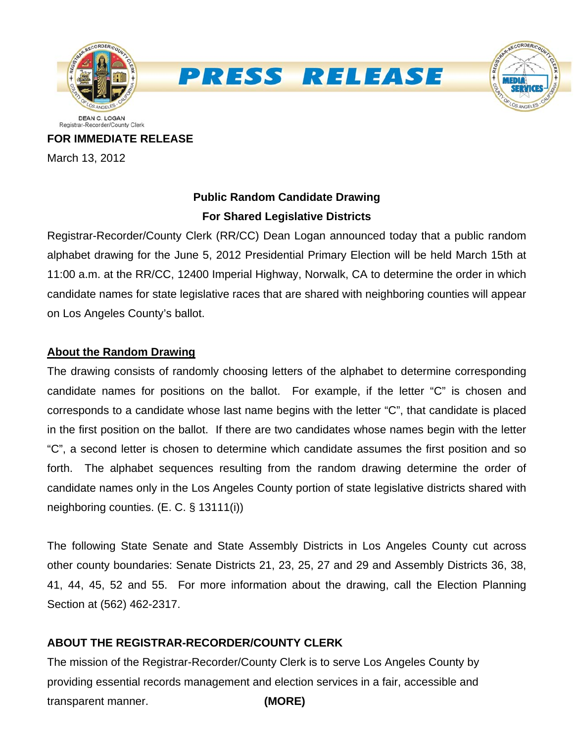

**PRESS RELEASE** 



**FOR IMMEDIATE RELEASE** March 13, 2012

# **Public Random Candidate Drawing For Shared Legislative Districts**

Registrar-Recorder/County Clerk (RR/CC) Dean Logan announced today that a public random alphabet drawing for the June 5, 2012 Presidential Primary Election will be held March 15th at 11:00 a.m. at the RR/CC, 12400 Imperial Highway, Norwalk, CA to determine the order in which candidate names for state legislative races that are shared with neighboring counties will appear on Los Angeles County's ballot.

### **About the Random Drawing**

The drawing consists of randomly choosing letters of the alphabet to determine corresponding candidate names for positions on the ballot. For example, if the letter "C" is chosen and corresponds to a candidate whose last name begins with the letter "C", that candidate is placed in the first position on the ballot. If there are two candidates whose names begin with the letter "C", a second letter is chosen to determine which candidate assumes the first position and so forth. The alphabet sequences resulting from the random drawing determine the order of candidate names only in the Los Angeles County portion of state legislative districts shared with neighboring counties. (E. C. § 13111(i))

The following State Senate and State Assembly Districts in Los Angeles County cut across other county boundaries: Senate Districts 21, 23, 25, 27 and 29 and Assembly Districts 36, 38, 41, 44, 45, 52 and 55. For more information about the drawing, call the Election Planning Section at (562) 462-2317.

## **ABOUT THE REGISTRAR-RECORDER/COUNTY CLERK**

The mission of the Registrar-Recorder/County Clerk is to serve Los Angeles County by providing essential records management and election services in a fair, accessible and transparent manner. **(MORE)**